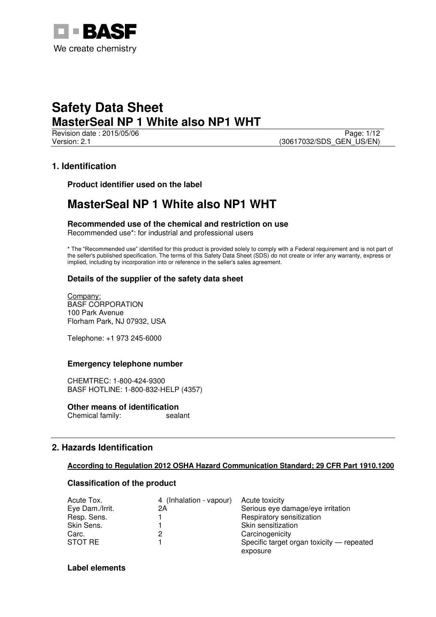

**Revision date : 2015/05/06** Page: 1/12 Version: 2.1 (30617032/SDS\_GEN\_US/EN)

## **1. Identification**

**Product identifier used on the label** 

## **MasterSeal NP 1 White also NP1 WHT**

**Recommended use of the chemical and restriction on use** 

Recommended use\*: for industrial and professional users

\* The "Recommended use" identified for this product is provided solely to comply with a Federal requirement and is not part of the seller's published specification. The terms of this Safety Data Sheet (SDS) do not create or infer any warranty, express or implied, including by incorporation into or reference in the seller's sales agreement.

## **Details of the supplier of the safety data sheet**

Company: BASF CORPORATION 100 Park Avenue Florham Park, NJ 07932, USA

Telephone: +1 973 245-6000

## **Emergency telephone number**

CHEMTREC: 1-800-424-9300 BASF HOTLINE: 1-800-832-HELP (4357)

**Other means of identification**<br>Chemical family: sealant Chemical family:

## **2. Hazards Identification**

## **According to Regulation 2012 OSHA Hazard Communication Standard; 29 CFR Part 1910.1200**

## **Classification of the product**

| Acute Tox.      | 4 (Inhalation - vapour) | Acute toxicity                            |
|-----------------|-------------------------|-------------------------------------------|
| Eye Dam./Irrit. | 2Α                      | Serious eye damage/eye irritation         |
| Resp. Sens.     |                         | Respiratory sensitization                 |
| Skin Sens.      |                         | Skin sensitization                        |
| Carc.           |                         | Carcinogenicity                           |
| STOT RE         |                         | Specific target organ toxicity — repeated |
|                 |                         | exposure                                  |

## **Label elements**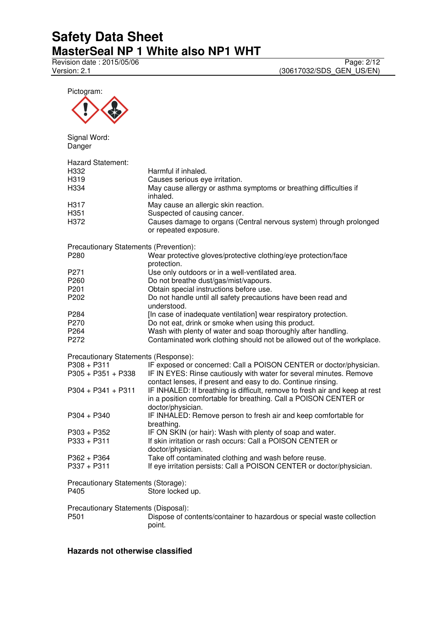Revision date : 2015/05/06 Page: 2/12

Version: 2.1 (30617032/SDS\_GEN\_US/EN)



### **Hazards not otherwise classified**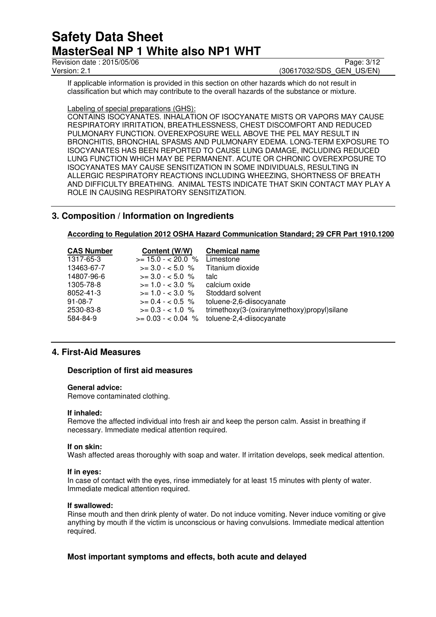Revision date : 2015/05/06 Page: 3/12<br>Version: 2.1 (30617032/SDS\_GEN\_US/EN)

(30617032/SDS\_GEN\_US/EN)

If applicable information is provided in this section on other hazards which do not result in classification but which may contribute to the overall hazards of the substance or mixture.

## Labeling of special preparations (GHS):

CONTAINS ISOCYANATES. INHALATION OF ISOCYANATE MISTS OR VAPORS MAY CAUSE RESPIRATORY IRRITATION, BREATHLESSNESS, CHEST DISCOMFORT AND REDUCED PULMONARY FUNCTION. OVEREXPOSURE WELL ABOVE THE PEL MAY RESULT IN BRONCHITIS, BRONCHIAL SPASMS AND PULMONARY EDEMA. LONG-TERM EXPOSURE TO ISOCYANATES HAS BEEN REPORTED TO CAUSE LUNG DAMAGE, INCLUDING REDUCED LUNG FUNCTION WHICH MAY BE PERMANENT. ACUTE OR CHRONIC OVEREXPOSURE TO ISOCYANATES MAY CAUSE SENSITIZATION IN SOME INDIVIDUALS, RESULTING IN ALLERGIC RESPIRATORY REACTIONS INCLUDING WHEEZING, SHORTNESS OF BREATH AND DIFFICULTY BREATHING. ANIMAL TESTS INDICATE THAT SKIN CONTACT MAY PLAY A ROLE IN CAUSING RESPIRATORY SENSITIZATION.

## **3. Composition / Information on Ingredients**

**According to Regulation 2012 OSHA Hazard Communication Standard; 29 CFR Part 1910.1200** 

| <b>CAS Number</b> | Content (W/W)      | <b>Chemical name</b>                        |
|-------------------|--------------------|---------------------------------------------|
| 1317-65-3         | $>= 15.0 - 20.0$ % | Limestone                                   |
| 13463-67-7        | $>= 3.0 - 5.0 %$   | Titanium dioxide                            |
| 14807-96-6        | $>= 3.0 - 5.0$ %   | talc                                        |
| 1305-78-8         | $>= 1.0 - < 3.0$ % | calcium oxide                               |
| 8052-41-3         | $>= 1.0 - < 3.0$ % | Stoddard solvent                            |
| $91 - 08 - 7$     | $>= 0.4 - <0.5$ %  | toluene-2,6-diisocyanate                    |
| 2530-83-8         | $>= 0.3 - 1.0 %$   | trimethoxy(3-(oxiranylmethoxy)propyl)silane |
| 584-84-9          |                    | $>= 0.03 - 0.04$ % toluene-2,4-diisocyanate |

## **4. First-Aid Measures**

## **Description of first aid measures**

### **General advice:**

Remove contaminated clothing.

### **If inhaled:**

Remove the affected individual into fresh air and keep the person calm. Assist in breathing if necessary. Immediate medical attention required.

### **If on skin:**

Wash affected areas thoroughly with soap and water. If irritation develops, seek medical attention.

### **If in eyes:**

In case of contact with the eyes, rinse immediately for at least 15 minutes with plenty of water. Immediate medical attention required.

### **If swallowed:**

Rinse mouth and then drink plenty of water. Do not induce vomiting. Never induce vomiting or give anything by mouth if the victim is unconscious or having convulsions. Immediate medical attention required.

## **Most important symptoms and effects, both acute and delayed**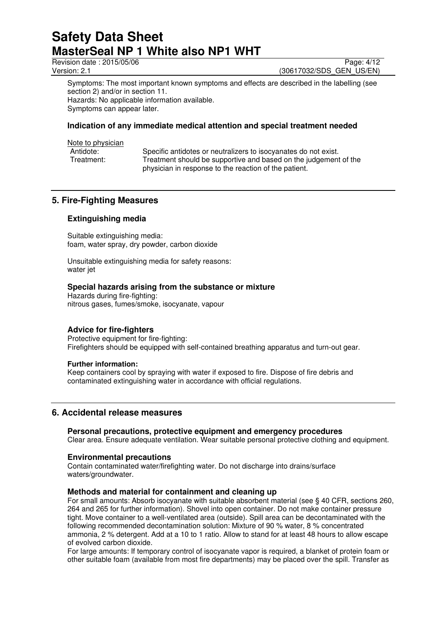Revision date : 2015/05/06 Page: 4/12<br>
Version: 2.1 (30617032/SDS GEN US/EN)

(30617032/SDS\_GEN\_US/EN)

Symptoms: The most important known symptoms and effects are described in the labelling (see section 2) and/or in section 11. Hazards: No applicable information available. Symptoms can appear later.

## **Indication of any immediate medical attention and special treatment needed**

Note to physician

| Antidote:  | Specific antidotes or neutralizers to isocyanates do not exist.  |
|------------|------------------------------------------------------------------|
| Treatment: | Treatment should be supportive and based on the judgement of the |
|            | physician in response to the reaction of the patient.            |

## **5. Fire-Fighting Measures**

## **Extinguishing media**

Suitable extinguishing media: foam, water spray, dry powder, carbon dioxide

Unsuitable extinguishing media for safety reasons: water jet

## **Special hazards arising from the substance or mixture**

Hazards during fire-fighting: nitrous gases, fumes/smoke, isocyanate, vapour

## **Advice for fire-fighters**

Protective equipment for fire-fighting: Firefighters should be equipped with self-contained breathing apparatus and turn-out gear.

### **Further information:**

Keep containers cool by spraying with water if exposed to fire. Dispose of fire debris and contaminated extinguishing water in accordance with official regulations.

## **6. Accidental release measures**

## **Personal precautions, protective equipment and emergency procedures**

Clear area. Ensure adequate ventilation. Wear suitable personal protective clothing and equipment.

### **Environmental precautions**

Contain contaminated water/firefighting water. Do not discharge into drains/surface waters/groundwater.

### **Methods and material for containment and cleaning up**

For small amounts: Absorb isocyanate with suitable absorbent material (see § 40 CFR, sections 260, 264 and 265 for further information). Shovel into open container. Do not make container pressure tight. Move container to a well-ventilated area (outside). Spill area can be decontaminated with the following recommended decontamination solution: Mixture of 90 % water, 8 % concentrated ammonia, 2 % detergent. Add at a 10 to 1 ratio. Allow to stand for at least 48 hours to allow escape of evolved carbon dioxide.

For large amounts: If temporary control of isocyanate vapor is required, a blanket of protein foam or other suitable foam (available from most fire departments) may be placed over the spill. Transfer as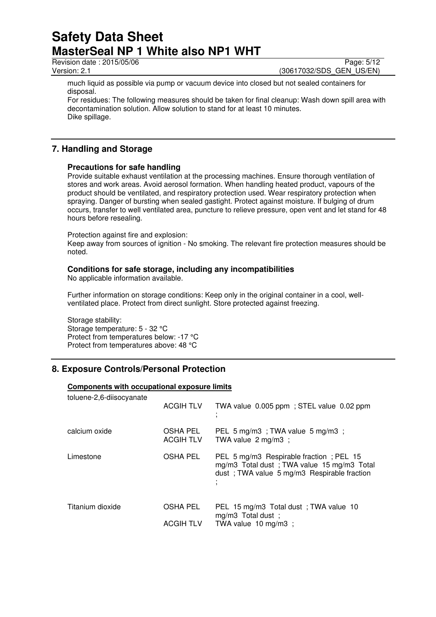Revision date : 2015/05/06 Page: 5/12

Version: 2.1 (30617032/SDS\_GEN\_US/EN)

much liquid as possible via pump or vacuum device into closed but not sealed containers for disposal.

For residues: The following measures should be taken for final cleanup: Wash down spill area with decontamination solution. Allow solution to stand for at least 10 minutes. Dike spillage.

## **7. Handling and Storage**

## **Precautions for safe handling**

Provide suitable exhaust ventilation at the processing machines. Ensure thorough ventilation of stores and work areas. Avoid aerosol formation. When handling heated product, vapours of the product should be ventilated, and respiratory protection used. Wear respiratory protection when spraying. Danger of bursting when sealed gastight. Protect against moisture. If bulging of drum occurs, transfer to well ventilated area, puncture to relieve pressure, open vent and let stand for 48 hours before resealing.

Protection against fire and explosion:

Keep away from sources of ignition - No smoking. The relevant fire protection measures should be noted.

## **Conditions for safe storage, including any incompatibilities**

No applicable information available.

Further information on storage conditions: Keep only in the original container in a cool, wellventilated place. Protect from direct sunlight. Store protected against freezing.

Storage stability: Storage temperature: 5 - 32 °C Protect from temperatures below: -17 °C Protect from temperatures above: 48 °C

## **8. Exposure Controls/Personal Protection**

## **Components with occupational exposure limits**

| toluene-2,6-diisocyanate | <b>ACGIH TLV</b>             | TWA value 0.005 ppm; STEL value 0.02 ppm                                                                                             |
|--------------------------|------------------------------|--------------------------------------------------------------------------------------------------------------------------------------|
| calcium oxide            | OSHA PEL<br><b>ACGIH TLV</b> | PEL 5 mg/m3; TWA value 5 mg/m3;<br>TWA value $2 \text{ mg/m3}$ :                                                                     |
| Limestone                | OSHA PEL                     | PEL 5 mg/m3 Respirable fraction; PEL 15<br>mg/m3 Total dust; TWA value 15 mg/m3 Total<br>dust; TWA value 5 mg/m3 Respirable fraction |
| Titanium dioxide         | OSHA PEL                     | PEL 15 mg/m3 Total dust; TWA value 10<br>mg/m3 Total dust;                                                                           |
|                          | <b>ACGIH TLV</b>             | TWA value $10 \text{ mg/m}3$ ;                                                                                                       |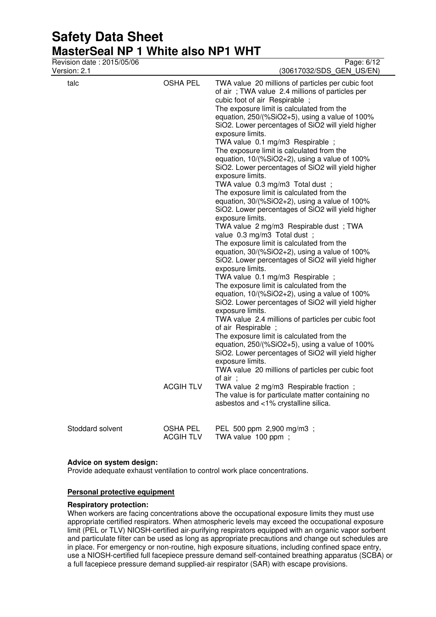| Revision date: 2015/05/06<br>Version: 2.1 |                                     | Page: 6/12<br>(30617032/SDS_GEN_US/EN)                                                                                                                                                                                                                                                                                                                                                                                                                                                                                                                                                                                                                                                                                                                                                                                                                                                                                                                                                                                                                                                                                                                                                                                                                                                                                                                                                                                                                                                                                                                                                                                                                                  |
|-------------------------------------------|-------------------------------------|-------------------------------------------------------------------------------------------------------------------------------------------------------------------------------------------------------------------------------------------------------------------------------------------------------------------------------------------------------------------------------------------------------------------------------------------------------------------------------------------------------------------------------------------------------------------------------------------------------------------------------------------------------------------------------------------------------------------------------------------------------------------------------------------------------------------------------------------------------------------------------------------------------------------------------------------------------------------------------------------------------------------------------------------------------------------------------------------------------------------------------------------------------------------------------------------------------------------------------------------------------------------------------------------------------------------------------------------------------------------------------------------------------------------------------------------------------------------------------------------------------------------------------------------------------------------------------------------------------------------------------------------------------------------------|
| talc                                      | <b>OSHA PEL</b><br><b>ACGIH TLV</b> | TWA value 20 millions of particles per cubic foot<br>of air; TWA value 2.4 millions of particles per<br>cubic foot of air Respirable;<br>The exposure limit is calculated from the<br>equation, 250/(%SiO2+5), using a value of 100%<br>SiO2. Lower percentages of SiO2 will yield higher<br>exposure limits.<br>TWA value 0.1 mg/m3 Respirable;<br>The exposure limit is calculated from the<br>equation, $10/(%SiO2+2)$ , using a value of 100%<br>SiO2. Lower percentages of SiO2 will yield higher<br>exposure limits.<br>TWA value 0.3 mg/m3 Total dust ;<br>The exposure limit is calculated from the<br>equation, $30/(%SiO2+2)$ , using a value of 100%<br>SiO2. Lower percentages of SiO2 will yield higher<br>exposure limits.<br>TWA value 2 mg/m3 Respirable dust; TWA<br>value 0.3 mg/m3 Total dust ;<br>The exposure limit is calculated from the<br>equation, 30/(%SiO2+2), using a value of 100%<br>SiO2. Lower percentages of SiO2 will yield higher<br>exposure limits.<br>TWA value 0.1 mg/m3 Respirable ;<br>The exposure limit is calculated from the<br>equation, $10/(%SiO2+2)$ , using a value of $100%$<br>SiO2. Lower percentages of SiO2 will yield higher<br>exposure limits.<br>TWA value 2.4 millions of particles per cubic foot<br>of air Respirable;<br>The exposure limit is calculated from the<br>equation, 250/(%SiO2+5), using a value of 100%<br>SiO2. Lower percentages of SiO2 will yield higher<br>exposure limits.<br>TWA value 20 millions of particles per cubic foot<br>of $air$ ;<br>TWA value 2 mg/m3 Respirable fraction;<br>The value is for particulate matter containing no<br>asbestos and <1% crystalline silica. |
| Stoddard solvent                          | <b>OSHA PEL</b><br><b>ACGIH TLV</b> | PEL 500 ppm 2,900 mg/m3;<br>TWA value 100 ppm;                                                                                                                                                                                                                                                                                                                                                                                                                                                                                                                                                                                                                                                                                                                                                                                                                                                                                                                                                                                                                                                                                                                                                                                                                                                                                                                                                                                                                                                                                                                                                                                                                          |

### **Advice on system design:**

Provide adequate exhaust ventilation to control work place concentrations.

## **Personal protective equipment**

#### **Respiratory protection:**

When workers are facing concentrations above the occupational exposure limits they must use appropriate certified respirators. When atmospheric levels may exceed the occupational exposure limit (PEL or TLV) NIOSH-certified air-purifying respirators equipped with an organic vapor sorbent and particulate filter can be used as long as appropriate precautions and change out schedules are in place. For emergency or non-routine, high exposure situations, including confined space entry, use a NIOSH-certified full facepiece pressure demand self-contained breathing apparatus (SCBA) or a full facepiece pressure demand supplied-air respirator (SAR) with escape provisions.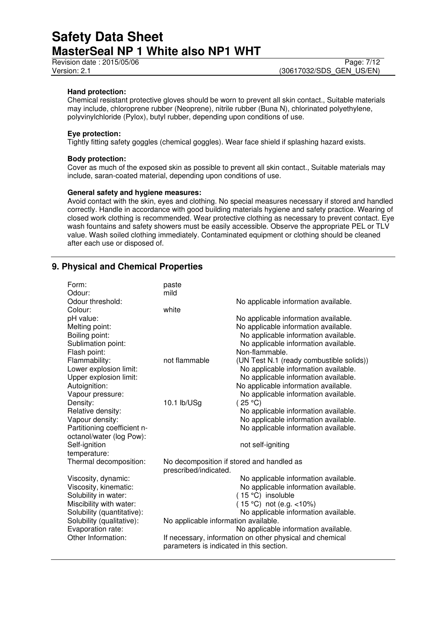## **Hand protection:**

Chemical resistant protective gloves should be worn to prevent all skin contact., Suitable materials may include, chloroprene rubber (Neoprene), nitrile rubber (Buna N), chlorinated polyethylene, polyvinylchloride (Pylox), butyl rubber, depending upon conditions of use.

## **Eye protection:**

Tightly fitting safety goggles (chemical goggles). Wear face shield if splashing hazard exists.

### **Body protection:**

Cover as much of the exposed skin as possible to prevent all skin contact., Suitable materials may include, saran-coated material, depending upon conditions of use.

#### **General safety and hygiene measures:**

Avoid contact with the skin, eyes and clothing. No special measures necessary if stored and handled correctly. Handle in accordance with good building materials hygiene and safety practice. Wearing of closed work clothing is recommended. Wear protective clothing as necessary to prevent contact. Eye wash fountains and safety showers must be easily accessible. Observe the appropriate PEL or TLV value. Wash soiled clothing immediately. Contaminated equipment or clothing should be cleaned after each use or disposed of.

## **9. Physical and Chemical Properties**

| Form:                       | paste                                     |                                                          |
|-----------------------------|-------------------------------------------|----------------------------------------------------------|
| Odour:                      | mild                                      |                                                          |
| Odour threshold:            |                                           | No applicable information available.                     |
| Colour:                     | white                                     |                                                          |
| pH value:                   |                                           | No applicable information available.                     |
| Melting point:              |                                           | No applicable information available.                     |
| Boiling point:              |                                           | No applicable information available.                     |
| Sublimation point:          |                                           | No applicable information available.                     |
| Flash point:                |                                           | Non-flammable.                                           |
| Flammability:               | not flammable                             | (UN Test N.1 (ready combustible solids))                 |
| Lower explosion limit:      |                                           | No applicable information available.                     |
| Upper explosion limit:      |                                           | No applicable information available.                     |
| Autoignition:               |                                           | No applicable information available.                     |
| Vapour pressure:            |                                           | No applicable information available.                     |
| Density:                    | 10.1 lb/USg                               | (25 °C)                                                  |
| Relative density:           |                                           | No applicable information available.                     |
| Vapour density:             |                                           | No applicable information available.                     |
| Partitioning coefficient n- |                                           | No applicable information available.                     |
| octanol/water (log Pow):    |                                           |                                                          |
| Self-ignition               |                                           | not self-igniting                                        |
| temperature:                |                                           |                                                          |
| Thermal decomposition:      | No decomposition if stored and handled as |                                                          |
|                             | prescribed/indicated.                     |                                                          |
| Viscosity, dynamic:         |                                           | No applicable information available.                     |
| Viscosity, kinematic:       |                                           | No applicable information available.                     |
| Solubility in water:        |                                           | (15 °C) insoluble                                        |
| Miscibility with water:     |                                           | (15 °C) not (e.g. <10%)                                  |
| Solubility (quantitative):  |                                           | No applicable information available.                     |
| Solubility (qualitative):   | No applicable information available.      |                                                          |
| Evaporation rate:           |                                           | No applicable information available.                     |
| Other Information:          |                                           | If necessary, information on other physical and chemical |
|                             | parameters is indicated in this section.  |                                                          |
|                             |                                           |                                                          |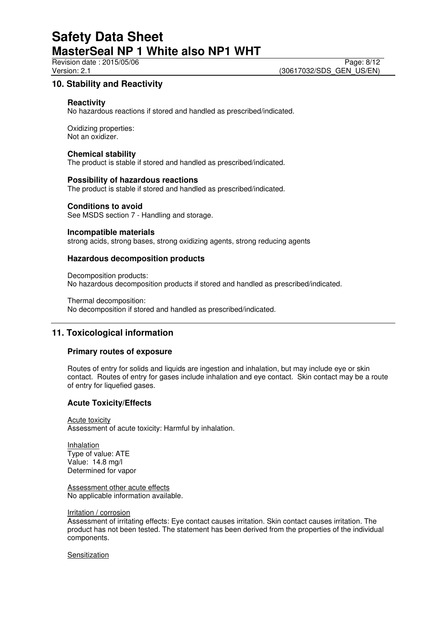Revision date : 2015/05/06 Page: 8/12

## **10. Stability and Reactivity**

## **Reactivity**

No hazardous reactions if stored and handled as prescribed/indicated.

Oxidizing properties: Not an oxidizer.

## **Chemical stability**

The product is stable if stored and handled as prescribed/indicated.

## **Possibility of hazardous reactions**

The product is stable if stored and handled as prescribed/indicated.

## **Conditions to avoid**

See MSDS section 7 - Handling and storage.

### **Incompatible materials**

strong acids, strong bases, strong oxidizing agents, strong reducing agents

## **Hazardous decomposition products**

Decomposition products: No hazardous decomposition products if stored and handled as prescribed/indicated.

Thermal decomposition: No decomposition if stored and handled as prescribed/indicated.

## **11. Toxicological information**

## **Primary routes of exposure**

Routes of entry for solids and liquids are ingestion and inhalation, but may include eye or skin contact. Routes of entry for gases include inhalation and eye contact. Skin contact may be a route of entry for liquefied gases.

## **Acute Toxicity/Effects**

Acute toxicity Assessment of acute toxicity: Harmful by inhalation.

Inhalation Type of value: ATE Value: 14.8 mg/l Determined for vapor

Assessment other acute effects No applicable information available.

#### Irritation / corrosion

Assessment of irritating effects: Eye contact causes irritation. Skin contact causes irritation. The product has not been tested. The statement has been derived from the properties of the individual components.

Sensitization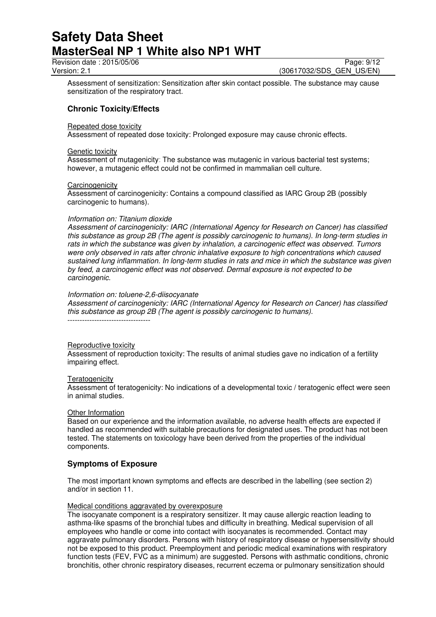Revision date : 2015/05/06 Page: 9/12<br>Version: 2.1 (30617032/SDS GEN US/EN)

(30617032/SDS\_GEN\_US/EN)

Assessment of sensitization: Sensitization after skin contact possible. The substance may cause sensitization of the respiratory tract.

## **Chronic Toxicity/Effects**

## Repeated dose toxicity

Assessment of repeated dose toxicity: Prolonged exposure may cause chronic effects.

### Genetic toxicity

Assessment of mutagenicity: The substance was mutagenic in various bacterial test systems; however, a mutagenic effect could not be confirmed in mammalian cell culture.

### **Carcinogenicity**

Assessment of carcinogenicity: Contains a compound classified as IARC Group 2B (possibly carcinogenic to humans).

### *Information on: Titanium dioxide*

*Assessment of carcinogenicity: IARC (International Agency for Research on Cancer) has classified this substance as group 2B (The agent is possibly carcinogenic to humans). In long-term studies in rats in which the substance was given by inhalation, a carcinogenic effect was observed. Tumors were only observed in rats after chronic inhalative exposure to high concentrations which caused sustained lung inflammation. In long-term studies in rats and mice in which the substance was given by feed, a carcinogenic effect was not observed. Dermal exposure is not expected to be carcinogenic.* 

### *Information on: toluene-2,6-diisocyanate*

*Assessment of carcinogenicity: IARC (International Agency for Research on Cancer) has classified this substance as group 2B (The agent is possibly carcinogenic to humans).*  ----------------------------------

### Reproductive toxicity

Assessment of reproduction toxicity: The results of animal studies gave no indication of a fertility impairing effect.

### **Teratogenicity**

Assessment of teratogenicity: No indications of a developmental toxic / teratogenic effect were seen in animal studies.

### **Other Information**

Based on our experience and the information available, no adverse health effects are expected if handled as recommended with suitable precautions for designated uses. The product has not been tested. The statements on toxicology have been derived from the properties of the individual components.

## **Symptoms of Exposure**

The most important known symptoms and effects are described in the labelling (see section 2) and/or in section 11.

### Medical conditions aggravated by overexposure

The isocyanate component is a respiratory sensitizer. It may cause allergic reaction leading to asthma-like spasms of the bronchial tubes and difficulty in breathing. Medical supervision of all employees who handle or come into contact with isocyanates is recommended. Contact may aggravate pulmonary disorders. Persons with history of respiratory disease or hypersensitivity should not be exposed to this product. Preemployment and periodic medical examinations with respiratory function tests (FEV, FVC as a minimum) are suggested. Persons with asthmatic conditions, chronic bronchitis, other chronic respiratory diseases, recurrent eczema or pulmonary sensitization should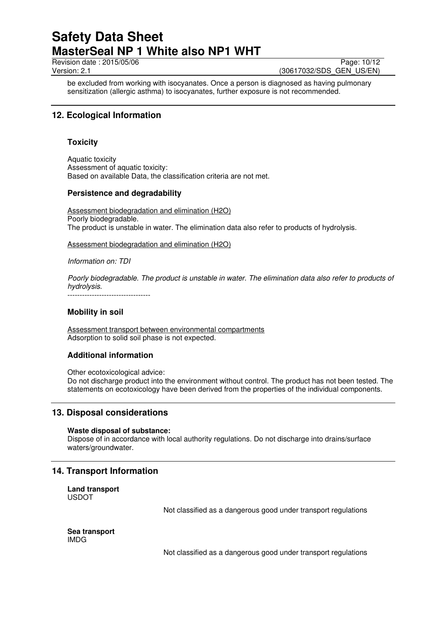Revision date : 2015/05/06 Page: 10/12<br>Version: 2.1 (30617032/SDS GEN US/EN)

(30617032/SDS\_GEN\_US/EN)

be excluded from working with isocyanates. Once a person is diagnosed as having pulmonary sensitization (allergic asthma) to isocyanates, further exposure is not recommended.

## **12. Ecological Information**

## **Toxicity**

Aquatic toxicity Assessment of aquatic toxicity: Based on available Data, the classification criteria are not met.

## **Persistence and degradability**

Assessment biodegradation and elimination (H2O) Poorly biodegradable. The product is unstable in water. The elimination data also refer to products of hydrolysis.

Assessment biodegradation and elimination (H2O)

*Information on: TDI* 

*Poorly biodegradable. The product is unstable in water. The elimination data also refer to products of hydrolysis.*  ----------------------------------

## **Mobility in soil**

Assessment transport between environmental compartments Adsorption to solid soil phase is not expected.

## **Additional information**

Other ecotoxicological advice:

Do not discharge product into the environment without control. The product has not been tested. The statements on ecotoxicology have been derived from the properties of the individual components.

## **13. Disposal considerations**

### **Waste disposal of substance:**

Dispose of in accordance with local authority regulations. Do not discharge into drains/surface waters/groundwater.

## **14. Transport Information**

**Land transport**  USDOT

Not classified as a dangerous good under transport regulations

**Sea transport**  IMDG

Not classified as a dangerous good under transport regulations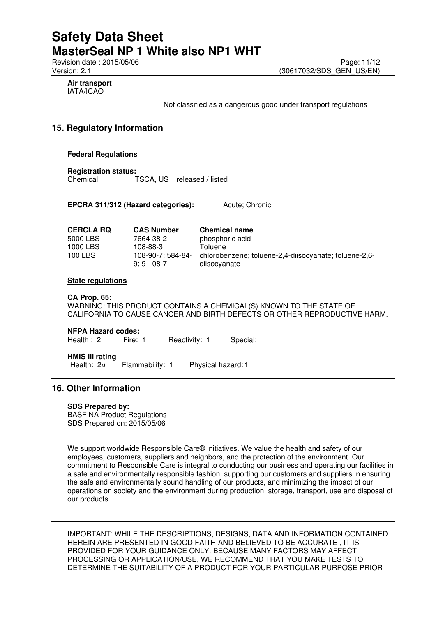Revision date : 2015/05/06 Page: 11/12<br>Version: 2.1 (30617032/SDS GEN US/EN) (30617032/SDS\_GEN\_US/EN)

**Air transport**  IATA/ICAO

Not classified as a dangerous good under transport regulations

## **15. Regulatory Information**

## **Federal Regulations**

**Registration status:**  TSCA, US released / listed

**EPCRA 311/312 (Hazard categories):** Acute; Chronic

| <b>CERCLA RQ</b> | <b>CAS Number</b>                | <b>Chemical name</b>                                                  |
|------------------|----------------------------------|-----------------------------------------------------------------------|
| 5000 LBS         | 7664-38-2                        | phosphoric acid                                                       |
| 1000 LBS         | 108-88-3                         | Toluene                                                               |
| 100 LBS          | 108-90-7: 584-84-<br>$9:91-08-7$ | chlorobenzene; toluene-2,4-diisocyanate; toluene-2,6-<br>diisocyanate |

## **State regulations**

### **CA Prop. 65:**

WARNING: THIS PRODUCT CONTAINS A CHEMICAL(S) KNOWN TO THE STATE OF CALIFORNIA TO CAUSE CANCER AND BIRTH DEFECTS OR OTHER REPRODUCTIVE HARM.

### **NFPA Hazard codes:**

Health : 2 Fire: 1 Reactivity: 1 Special:

# **HMIS III rating**

Flammability: 1 Physical hazard:1

## **16. Other Information**

### **SDS Prepared by:**

BASF NA Product Regulations SDS Prepared on: 2015/05/06

We support worldwide Responsible Care® initiatives. We value the health and safety of our employees, customers, suppliers and neighbors, and the protection of the environment. Our commitment to Responsible Care is integral to conducting our business and operating our facilities in a safe and environmentally responsible fashion, supporting our customers and suppliers in ensuring the safe and environmentally sound handling of our products, and minimizing the impact of our operations on society and the environment during production, storage, transport, use and disposal of our products.

IMPORTANT: WHILE THE DESCRIPTIONS, DESIGNS, DATA AND INFORMATION CONTAINED HEREIN ARE PRESENTED IN GOOD FAITH AND BELIEVED TO BE ACCURATE , IT IS PROVIDED FOR YOUR GUIDANCE ONLY. BECAUSE MANY FACTORS MAY AFFECT PROCESSING OR APPLICATION/USE, WE RECOMMEND THAT YOU MAKE TESTS TO DETERMINE THE SUITABILITY OF A PRODUCT FOR YOUR PARTICULAR PURPOSE PRIOR